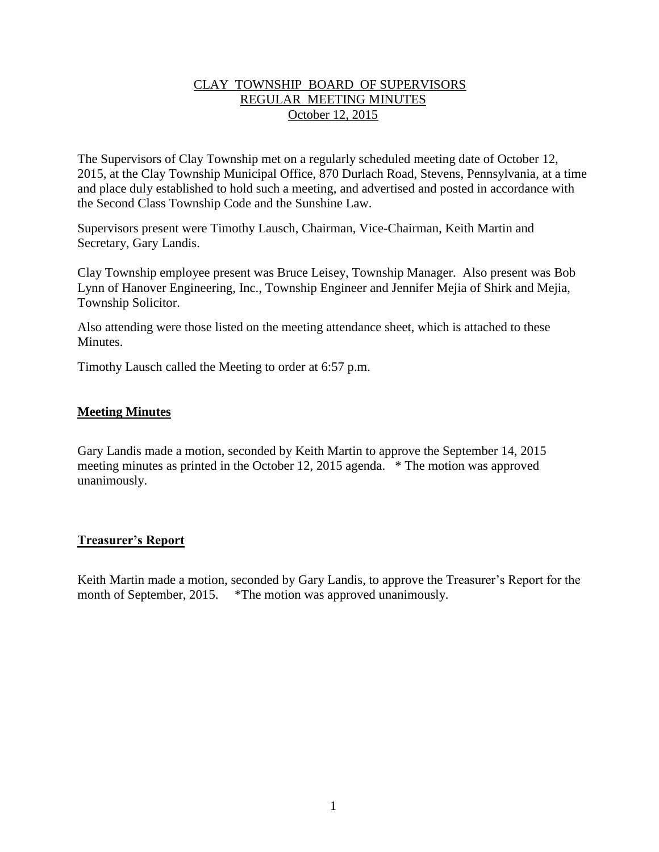## CLAY TOWNSHIP BOARD OF SUPERVISORS REGULAR MEETING MINUTES October 12, 2015

The Supervisors of Clay Township met on a regularly scheduled meeting date of October 12, 2015, at the Clay Township Municipal Office, 870 Durlach Road, Stevens, Pennsylvania, at a time and place duly established to hold such a meeting, and advertised and posted in accordance with the Second Class Township Code and the Sunshine Law.

Supervisors present were Timothy Lausch, Chairman, Vice-Chairman, Keith Martin and Secretary, Gary Landis.

Clay Township employee present was Bruce Leisey, Township Manager. Also present was Bob Lynn of Hanover Engineering, Inc., Township Engineer and Jennifer Mejia of Shirk and Mejia, Township Solicitor.

Also attending were those listed on the meeting attendance sheet, which is attached to these **Minutes** 

Timothy Lausch called the Meeting to order at 6:57 p.m.

## **Meeting Minutes**

Gary Landis made a motion, seconded by Keith Martin to approve the September 14, 2015 meeting minutes as printed in the October 12, 2015 agenda. \* The motion was approved unanimously.

## **Treasurer's Report**

Keith Martin made a motion, seconded by Gary Landis, to approve the Treasurer's Report for the month of September, 2015. \*The motion was approved unanimously.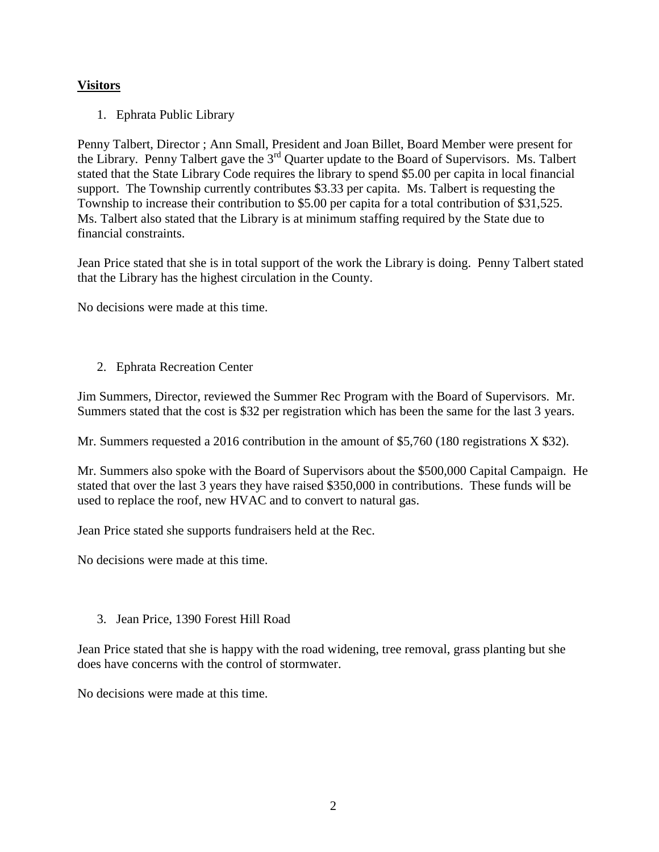# **Visitors**

1. Ephrata Public Library

Penny Talbert, Director ; Ann Small, President and Joan Billet, Board Member were present for the Library. Penny Talbert gave the 3<sup>rd</sup> Quarter update to the Board of Supervisors. Ms. Talbert stated that the State Library Code requires the library to spend \$5.00 per capita in local financial support. The Township currently contributes \$3.33 per capita. Ms. Talbert is requesting the Township to increase their contribution to \$5.00 per capita for a total contribution of \$31,525. Ms. Talbert also stated that the Library is at minimum staffing required by the State due to financial constraints.

Jean Price stated that she is in total support of the work the Library is doing. Penny Talbert stated that the Library has the highest circulation in the County.

No decisions were made at this time.

2. Ephrata Recreation Center

Jim Summers, Director, reviewed the Summer Rec Program with the Board of Supervisors. Mr. Summers stated that the cost is \$32 per registration which has been the same for the last 3 years.

Mr. Summers requested a 2016 contribution in the amount of \$5,760 (180 registrations X \$32).

Mr. Summers also spoke with the Board of Supervisors about the \$500,000 Capital Campaign. He stated that over the last 3 years they have raised \$350,000 in contributions. These funds will be used to replace the roof, new HVAC and to convert to natural gas.

Jean Price stated she supports fundraisers held at the Rec.

No decisions were made at this time.

3. Jean Price, 1390 Forest Hill Road

Jean Price stated that she is happy with the road widening, tree removal, grass planting but she does have concerns with the control of stormwater.

No decisions were made at this time.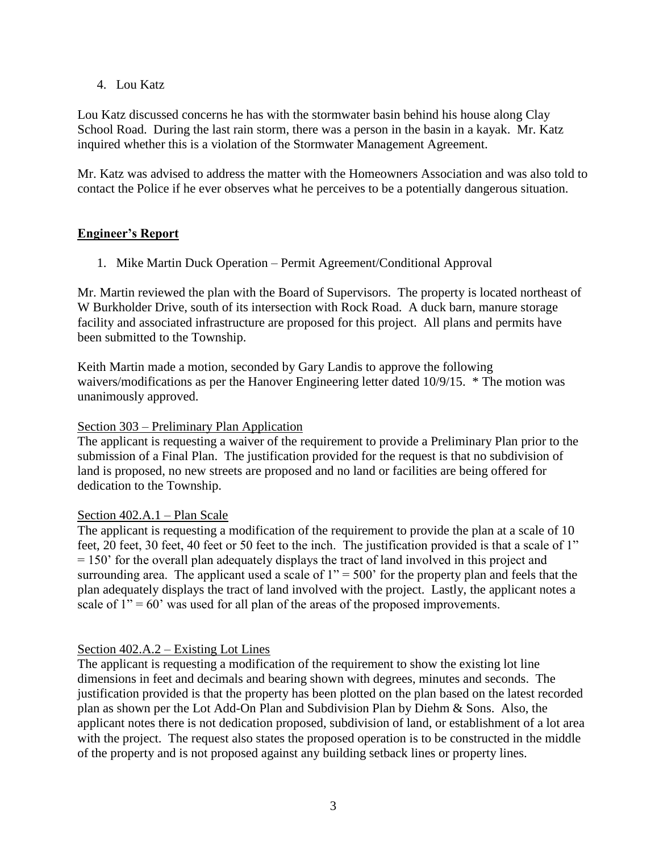4. Lou Katz

Lou Katz discussed concerns he has with the stormwater basin behind his house along Clay School Road. During the last rain storm, there was a person in the basin in a kayak. Mr. Katz inquired whether this is a violation of the Stormwater Management Agreement.

Mr. Katz was advised to address the matter with the Homeowners Association and was also told to contact the Police if he ever observes what he perceives to be a potentially dangerous situation.

# **Engineer's Report**

1. Mike Martin Duck Operation – Permit Agreement/Conditional Approval

Mr. Martin reviewed the plan with the Board of Supervisors. The property is located northeast of W Burkholder Drive, south of its intersection with Rock Road. A duck barn, manure storage facility and associated infrastructure are proposed for this project. All plans and permits have been submitted to the Township.

Keith Martin made a motion, seconded by Gary Landis to approve the following waivers/modifications as per the Hanover Engineering letter dated 10/9/15. \* The motion was unanimously approved.

## Section 303 – Preliminary Plan Application

The applicant is requesting a waiver of the requirement to provide a Preliminary Plan prior to the submission of a Final Plan. The justification provided for the request is that no subdivision of land is proposed, no new streets are proposed and no land or facilities are being offered for dedication to the Township.

# Section 402.A.1 – Plan Scale

The applicant is requesting a modification of the requirement to provide the plan at a scale of 10 feet, 20 feet, 30 feet, 40 feet or 50 feet to the inch. The justification provided is that a scale of 1" = 150' for the overall plan adequately displays the tract of land involved in this project and surrounding area. The applicant used a scale of  $1" = 500'$  for the property plan and feels that the plan adequately displays the tract of land involved with the project. Lastly, the applicant notes a scale of  $1'' = 60'$  was used for all plan of the areas of the proposed improvements.

# Section 402.A.2 – Existing Lot Lines

The applicant is requesting a modification of the requirement to show the existing lot line dimensions in feet and decimals and bearing shown with degrees, minutes and seconds. The justification provided is that the property has been plotted on the plan based on the latest recorded plan as shown per the Lot Add-On Plan and Subdivision Plan by Diehm & Sons. Also, the applicant notes there is not dedication proposed, subdivision of land, or establishment of a lot area with the project. The request also states the proposed operation is to be constructed in the middle of the property and is not proposed against any building setback lines or property lines.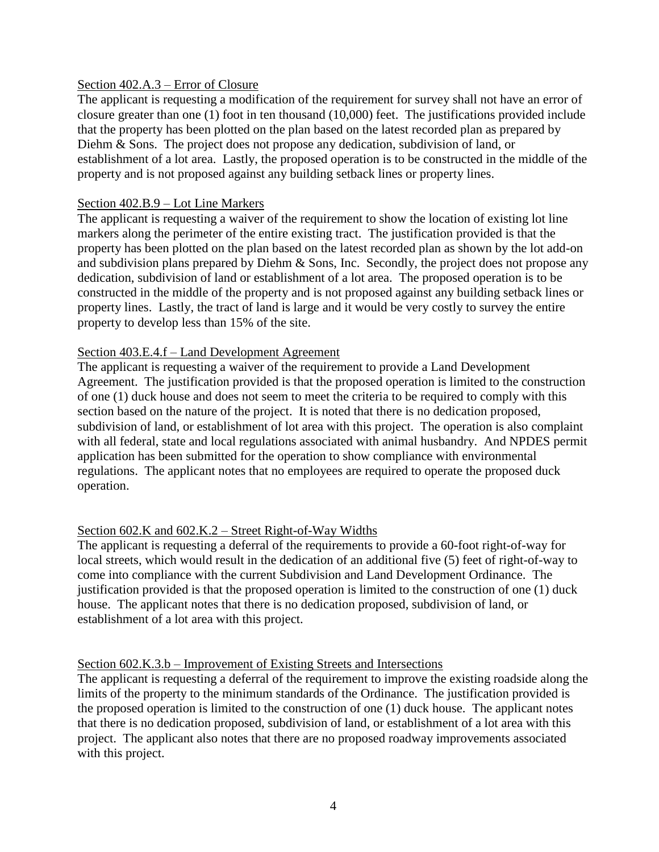## Section 402.A.3 – Error of Closure

The applicant is requesting a modification of the requirement for survey shall not have an error of closure greater than one (1) foot in ten thousand (10,000) feet. The justifications provided include that the property has been plotted on the plan based on the latest recorded plan as prepared by Diehm & Sons. The project does not propose any dedication, subdivision of land, or establishment of a lot area. Lastly, the proposed operation is to be constructed in the middle of the property and is not proposed against any building setback lines or property lines.

### Section 402.B.9 – Lot Line Markers

The applicant is requesting a waiver of the requirement to show the location of existing lot line markers along the perimeter of the entire existing tract. The justification provided is that the property has been plotted on the plan based on the latest recorded plan as shown by the lot add-on and subdivision plans prepared by Diehm & Sons, Inc. Secondly, the project does not propose any dedication, subdivision of land or establishment of a lot area. The proposed operation is to be constructed in the middle of the property and is not proposed against any building setback lines or property lines. Lastly, the tract of land is large and it would be very costly to survey the entire property to develop less than 15% of the site.

## Section 403.E.4.f – Land Development Agreement

The applicant is requesting a waiver of the requirement to provide a Land Development Agreement. The justification provided is that the proposed operation is limited to the construction of one (1) duck house and does not seem to meet the criteria to be required to comply with this section based on the nature of the project. It is noted that there is no dedication proposed, subdivision of land, or establishment of lot area with this project. The operation is also complaint with all federal, state and local regulations associated with animal husbandry. And NPDES permit application has been submitted for the operation to show compliance with environmental regulations. The applicant notes that no employees are required to operate the proposed duck operation.

## Section 602.K and 602.K.2 – Street Right-of-Way Widths

The applicant is requesting a deferral of the requirements to provide a 60-foot right-of-way for local streets, which would result in the dedication of an additional five (5) feet of right-of-way to come into compliance with the current Subdivision and Land Development Ordinance. The justification provided is that the proposed operation is limited to the construction of one (1) duck house. The applicant notes that there is no dedication proposed, subdivision of land, or establishment of a lot area with this project.

## Section 602.K.3.b – Improvement of Existing Streets and Intersections

The applicant is requesting a deferral of the requirement to improve the existing roadside along the limits of the property to the minimum standards of the Ordinance. The justification provided is the proposed operation is limited to the construction of one (1) duck house. The applicant notes that there is no dedication proposed, subdivision of land, or establishment of a lot area with this project. The applicant also notes that there are no proposed roadway improvements associated with this project.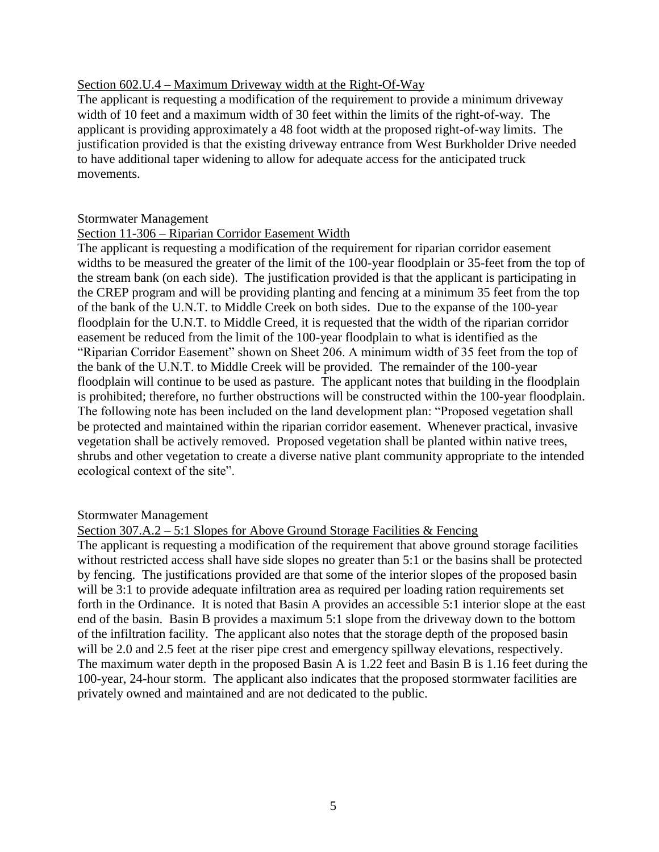### Section 602.U.4 – Maximum Driveway width at the Right-Of-Way

The applicant is requesting a modification of the requirement to provide a minimum driveway width of 10 feet and a maximum width of 30 feet within the limits of the right-of-way. The applicant is providing approximately a 48 foot width at the proposed right-of-way limits. The justification provided is that the existing driveway entrance from West Burkholder Drive needed to have additional taper widening to allow for adequate access for the anticipated truck movements.

### Stormwater Management

## Section 11-306 – Riparian Corridor Easement Width

The applicant is requesting a modification of the requirement for riparian corridor easement widths to be measured the greater of the limit of the 100-year floodplain or 35-feet from the top of the stream bank (on each side). The justification provided is that the applicant is participating in the CREP program and will be providing planting and fencing at a minimum 35 feet from the top of the bank of the U.N.T. to Middle Creek on both sides. Due to the expanse of the 100-year floodplain for the U.N.T. to Middle Creed, it is requested that the width of the riparian corridor easement be reduced from the limit of the 100-year floodplain to what is identified as the "Riparian Corridor Easement" shown on Sheet 206. A minimum width of 35 feet from the top of the bank of the U.N.T. to Middle Creek will be provided. The remainder of the 100-year floodplain will continue to be used as pasture. The applicant notes that building in the floodplain is prohibited; therefore, no further obstructions will be constructed within the 100-year floodplain. The following note has been included on the land development plan: "Proposed vegetation shall be protected and maintained within the riparian corridor easement. Whenever practical, invasive vegetation shall be actively removed. Proposed vegetation shall be planted within native trees, shrubs and other vegetation to create a diverse native plant community appropriate to the intended ecological context of the site".

## Stormwater Management

Section 307.A.2 – 5:1 Slopes for Above Ground Storage Facilities & Fencing

The applicant is requesting a modification of the requirement that above ground storage facilities without restricted access shall have side slopes no greater than 5:1 or the basins shall be protected by fencing. The justifications provided are that some of the interior slopes of the proposed basin will be 3:1 to provide adequate infiltration area as required per loading ration requirements set forth in the Ordinance. It is noted that Basin A provides an accessible 5:1 interior slope at the east end of the basin. Basin B provides a maximum 5:1 slope from the driveway down to the bottom of the infiltration facility. The applicant also notes that the storage depth of the proposed basin will be 2.0 and 2.5 feet at the riser pipe crest and emergency spillway elevations, respectively. The maximum water depth in the proposed Basin A is 1.22 feet and Basin B is 1.16 feet during the 100-year, 24-hour storm. The applicant also indicates that the proposed stormwater facilities are privately owned and maintained and are not dedicated to the public.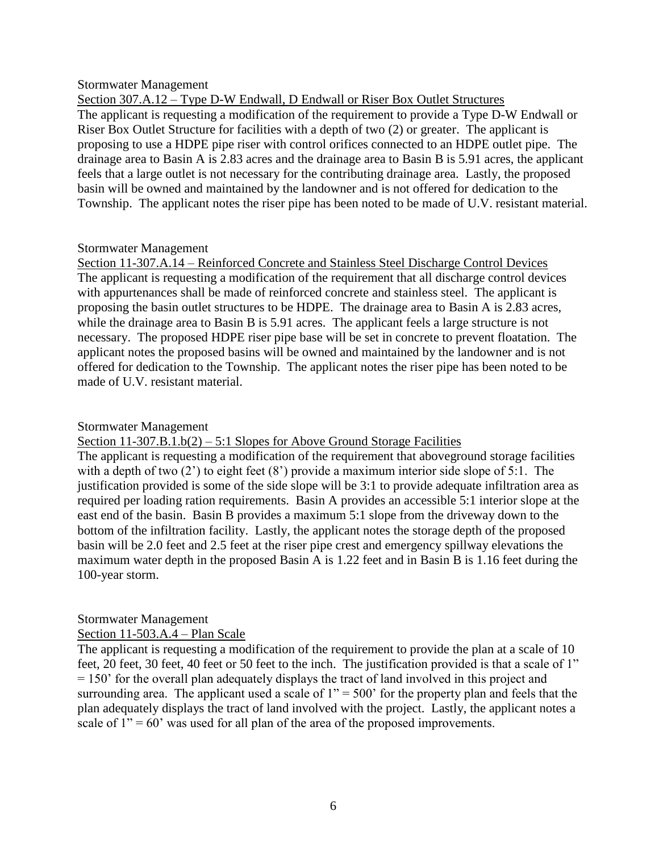#### Stormwater Management

Section 307.A.12 – Type D-W Endwall, D Endwall or Riser Box Outlet Structures The applicant is requesting a modification of the requirement to provide a Type D-W Endwall or Riser Box Outlet Structure for facilities with a depth of two (2) or greater. The applicant is proposing to use a HDPE pipe riser with control orifices connected to an HDPE outlet pipe. The drainage area to Basin A is 2.83 acres and the drainage area to Basin B is 5.91 acres, the applicant feels that a large outlet is not necessary for the contributing drainage area. Lastly, the proposed basin will be owned and maintained by the landowner and is not offered for dedication to the Township. The applicant notes the riser pipe has been noted to be made of U.V. resistant material.

## Stormwater Management

Section 11-307.A.14 – Reinforced Concrete and Stainless Steel Discharge Control Devices The applicant is requesting a modification of the requirement that all discharge control devices with appurtenances shall be made of reinforced concrete and stainless steel. The applicant is proposing the basin outlet structures to be HDPE. The drainage area to Basin A is 2.83 acres, while the drainage area to Basin B is 5.91 acres. The applicant feels a large structure is not necessary. The proposed HDPE riser pipe base will be set in concrete to prevent floatation. The applicant notes the proposed basins will be owned and maintained by the landowner and is not offered for dedication to the Township. The applicant notes the riser pipe has been noted to be made of U.V. resistant material.

## Stormwater Management

Section  $11-307.B.1.b(2) - 5:1$  Slopes for Above Ground Storage Facilities

The applicant is requesting a modification of the requirement that aboveground storage facilities with a depth of two  $(2')$  to eight feet  $(8')$  provide a maximum interior side slope of 5:1. The justification provided is some of the side slope will be 3:1 to provide adequate infiltration area as required per loading ration requirements. Basin A provides an accessible 5:1 interior slope at the east end of the basin. Basin B provides a maximum 5:1 slope from the driveway down to the bottom of the infiltration facility. Lastly, the applicant notes the storage depth of the proposed basin will be 2.0 feet and 2.5 feet at the riser pipe crest and emergency spillway elevations the maximum water depth in the proposed Basin A is 1.22 feet and in Basin B is 1.16 feet during the 100-year storm.

## Stormwater Management

## Section 11-503.A.4 – Plan Scale

The applicant is requesting a modification of the requirement to provide the plan at a scale of 10 feet, 20 feet, 30 feet, 40 feet or 50 feet to the inch. The justification provided is that a scale of 1" = 150' for the overall plan adequately displays the tract of land involved in this project and surrounding area. The applicant used a scale of  $1" = 500'$  for the property plan and feels that the plan adequately displays the tract of land involved with the project. Lastly, the applicant notes a scale of  $1" = 60'$  was used for all plan of the area of the proposed improvements.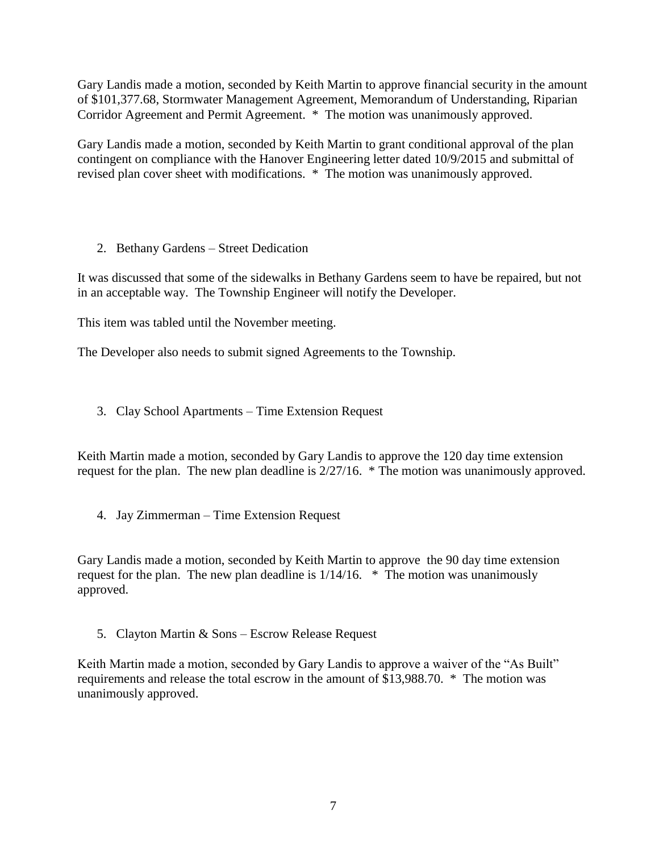Gary Landis made a motion, seconded by Keith Martin to approve financial security in the amount of \$101,377.68, Stormwater Management Agreement, Memorandum of Understanding, Riparian Corridor Agreement and Permit Agreement. \* The motion was unanimously approved.

Gary Landis made a motion, seconded by Keith Martin to grant conditional approval of the plan contingent on compliance with the Hanover Engineering letter dated 10/9/2015 and submittal of revised plan cover sheet with modifications. \* The motion was unanimously approved.

2. Bethany Gardens – Street Dedication

It was discussed that some of the sidewalks in Bethany Gardens seem to have be repaired, but not in an acceptable way. The Township Engineer will notify the Developer.

This item was tabled until the November meeting.

The Developer also needs to submit signed Agreements to the Township.

3. Clay School Apartments – Time Extension Request

Keith Martin made a motion, seconded by Gary Landis to approve the 120 day time extension request for the plan. The new plan deadline is 2/27/16. \* The motion was unanimously approved.

4. Jay Zimmerman – Time Extension Request

Gary Landis made a motion, seconded by Keith Martin to approve the 90 day time extension request for the plan. The new plan deadline is 1/14/16. \* The motion was unanimously approved.

5. Clayton Martin & Sons – Escrow Release Request

Keith Martin made a motion, seconded by Gary Landis to approve a waiver of the "As Built" requirements and release the total escrow in the amount of \$13,988.70. \* The motion was unanimously approved.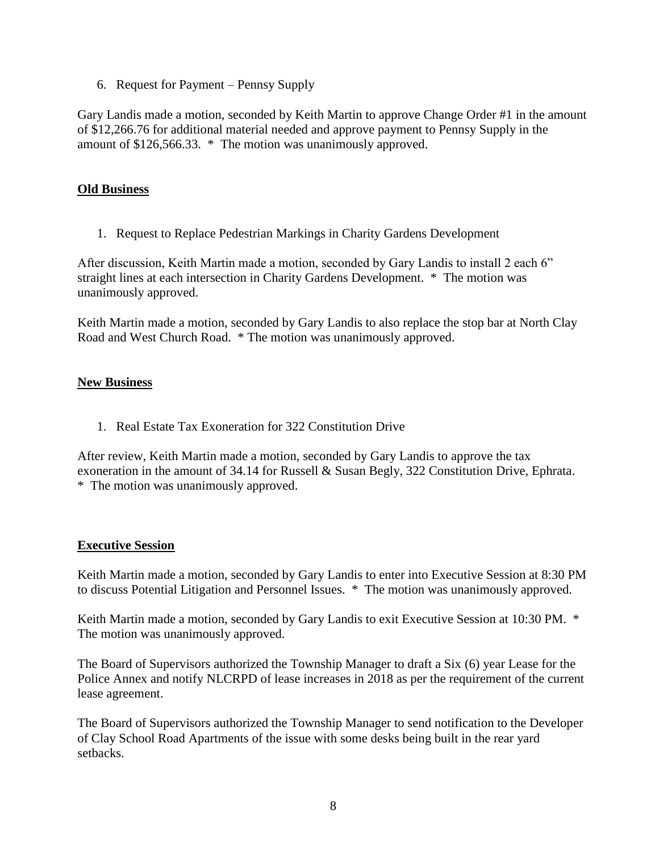6. Request for Payment – Pennsy Supply

Gary Landis made a motion, seconded by Keith Martin to approve Change Order #1 in the amount of \$12,266.76 for additional material needed and approve payment to Pennsy Supply in the amount of \$126,566.33. \* The motion was unanimously approved.

## **Old Business**

1. Request to Replace Pedestrian Markings in Charity Gardens Development

After discussion, Keith Martin made a motion, seconded by Gary Landis to install 2 each 6" straight lines at each intersection in Charity Gardens Development. \* The motion was unanimously approved.

Keith Martin made a motion, seconded by Gary Landis to also replace the stop bar at North Clay Road and West Church Road. \* The motion was unanimously approved.

## **New Business**

1. Real Estate Tax Exoneration for 322 Constitution Drive

After review, Keith Martin made a motion, seconded by Gary Landis to approve the tax exoneration in the amount of 34.14 for Russell & Susan Begly, 322 Constitution Drive, Ephrata. \* The motion was unanimously approved.

## **Executive Session**

Keith Martin made a motion, seconded by Gary Landis to enter into Executive Session at 8:30 PM to discuss Potential Litigation and Personnel Issues. \* The motion was unanimously approved.

Keith Martin made a motion, seconded by Gary Landis to exit Executive Session at 10:30 PM. \* The motion was unanimously approved.

The Board of Supervisors authorized the Township Manager to draft a Six (6) year Lease for the Police Annex and notify NLCRPD of lease increases in 2018 as per the requirement of the current lease agreement.

The Board of Supervisors authorized the Township Manager to send notification to the Developer of Clay School Road Apartments of the issue with some desks being built in the rear yard setbacks.